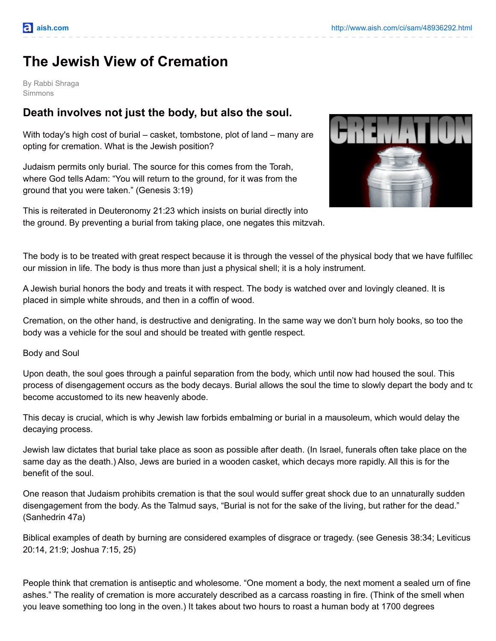## **The Jewish View of Cremation**

By Rabbi Shraga Simmons

## **Death involves not just the body, but also the soul.**

With today's high cost of burial – casket, tombstone, plot of land – many are opting for cremation. What is the Jewish position?

Judaism permits only burial. The source for this comes from the Torah, where God tells Adam: "You will return to the ground, for it was from the ground that you were taken." (Genesis 3:19)

This is reiterated in Deuteronomy 21:23 which insists on burial directly into the ground. By preventing a burial from taking place, one negates this mitzvah.



The body is to be treated with great respect because it is through the vessel of the physical body that we have fulfillec our mission in life. The body is thus more than just a physical shell; it is a holy instrument.

A Jewish burial honors the body and treats it with respect. The body is watched over and lovingly cleaned. It is placed in simple white shrouds, and then in a coffin of wood.

Cremation, on the other hand, is destructive and denigrating. In the same way we don't burn holy books, so too the body was a vehicle for the soul and should be treated with gentle respect.

Body and Soul

Upon death, the soul goes through a painful separation from the body, which until now had housed the soul. This process of disengagement occurs as the body decays. Burial allows the soul the time to slowly depart the body and to become accustomed to its new heavenly abode.

This decay is crucial, which is why Jewish law forbids embalming or burial in a mausoleum, which would delay the decaying process.

Jewish law dictates that burial take place as soon as possible after death. (In Israel, funerals often take place on the same day as the death.) Also, Jews are buried in a wooden casket, which decays more rapidly. All this is for the benefit of the soul.

One reason that Judaism prohibits cremation is that the soul would suffer great shock due to an unnaturally sudden disengagement from the body. As the Talmud says, "Burial is not for the sake of the living, but rather for the dead." (Sanhedrin 47a)

Biblical examples of death by burning are considered examples of disgrace or tragedy. (see Genesis 38:34; Leviticus 20:14, 21:9; Joshua 7:15, 25)

People think that cremation is antiseptic and wholesome. "One moment a body, the next moment a sealed urn of fine ashes." The reality of cremation is more accurately described as a carcass roasting in fire. (Think of the smell when you leave something too long in the oven.) It takes about two hours to roast a human body at 1700 degrees